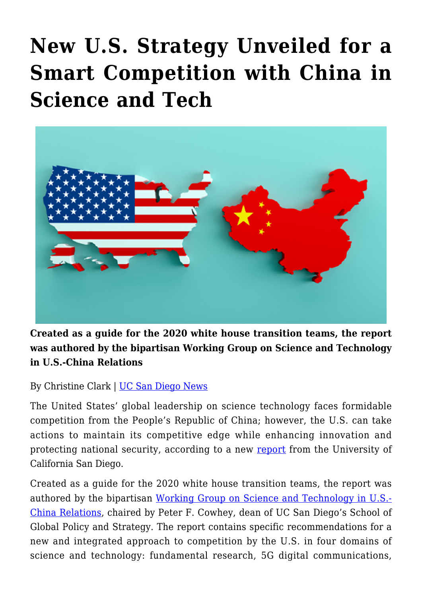## **[New U.S. Strategy Unveiled for a](https://gpsnews.ucsd.edu/new-u-s-strategy-unveiled-for-a-smart-competition-with-china-in-science-and-tech/) [Smart Competition with China in](https://gpsnews.ucsd.edu/new-u-s-strategy-unveiled-for-a-smart-competition-with-china-in-science-and-tech/) [Science and Tech](https://gpsnews.ucsd.edu/new-u-s-strategy-unveiled-for-a-smart-competition-with-china-in-science-and-tech/)**



**Created as a guide for the 2020 white house transition teams, the report was authored by the bipartisan Working Group on Science and Technology in U.S.-China Relations**

By Christine Clark | [UC San Diego News](mailto:?subject=New U.S. Strategy Unveiled for a Smart Competition with China in Science and Tech&body=I%20thought%20you%20might%20be%20interested%20in%20this%20story:%0A%0Ahttps://ucsdnews.ucsd.edu/pressrelease/new-u.s-strategy-unveiled-for-a-smart-competition-with-china-in-science-and-tech)

The United States' global leadership on science technology faces formidable competition from the People's Republic of China; however, the U.S. can take actions to maintain its competitive edge while enhancing innovation and protecting national security, according to a new [report](https://china.ucsd.edu/policy/science-and-technology.html) from the University of California San Diego.

Created as a guide for the 2020 white house transition teams, the report was authored by the bipartisan [Working Group on Science and Technology in U.S.-](https://china.ucsd.edu/policy/science-and-technology.html) [China Relations](https://china.ucsd.edu/policy/science-and-technology.html), chaired by Peter F. Cowhey, dean of UC San Diego's School of Global Policy and Strategy. The report contains specific recommendations for a new and integrated approach to competition by the U.S. in four domains of science and technology: fundamental research, 5G digital communications,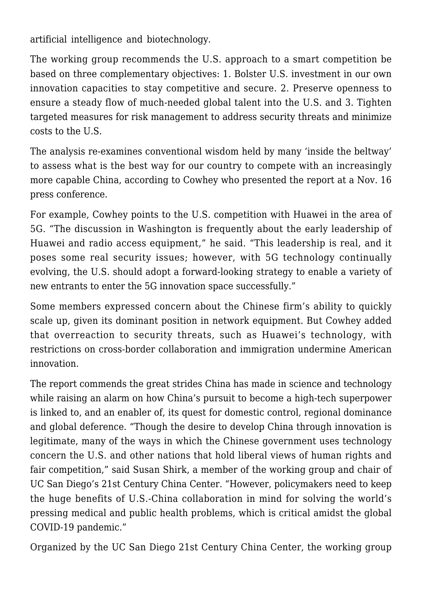artificial intelligence and biotechnology.

The working group recommends the U.S. approach to a smart competition be based on three complementary objectives: 1. Bolster U.S. investment in our own innovation capacities to stay competitive and secure. 2. Preserve openness to ensure a steady flow of much-needed global talent into the U.S. and 3. Tighten targeted measures for risk management to address security threats and minimize costs to the U.S.

The analysis re-examines conventional wisdom held by many 'inside the beltway' to assess what is the best way for our country to compete with an increasingly more capable China, according to Cowhey who presented the report at a Nov. 16 press conference.

For example, Cowhey points to the U.S. competition with Huawei in the area of 5G. "The discussion in Washington is frequently about the early leadership of Huawei and radio access equipment," he said. "This leadership is real, and it poses some real security issues; however, with 5G technology continually evolving, the U.S. should adopt a forward-looking strategy to enable a variety of new entrants to enter the 5G innovation space successfully."

Some members expressed concern about the Chinese firm's ability to quickly scale up, given its dominant position in network equipment. But Cowhey added that overreaction to security threats, such as Huawei's technology, with restrictions on cross-border collaboration and immigration undermine American innovation.

The report commends the great strides China has made in science and technology while raising an alarm on how China's pursuit to become a high-tech superpower is linked to, and an enabler of, its quest for domestic control, regional dominance and global deference. "Though the desire to develop China through innovation is legitimate, many of the ways in which the Chinese government uses technology concern the U.S. and other nations that hold liberal views of human rights and fair competition," said Susan Shirk, a member of the working group and chair of UC San Diego's 21st Century China Center. "However, policymakers need to keep the huge benefits of U.S.-China collaboration in mind for solving the world's pressing medical and public health problems, which is critical amidst the global COVID-19 pandemic."

Organized by the UC San Diego 21st Century China Center, the working group